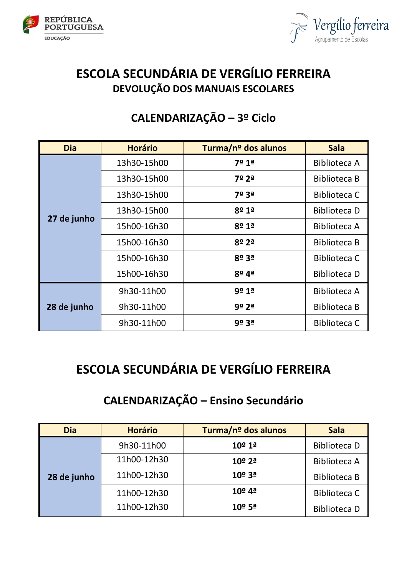



## **ESCOLA SECUNDÁRIA DE VERGÍLIO FERREIRA DEVOLUÇÃO DOS MANUAIS ESCOLARES**

## **CALENDARIZAÇÃO – 3º Ciclo**

| <b>Dia</b>  | <b>Horário</b> | Turma/nº dos alunos   | <b>Sala</b>         |
|-------------|----------------|-----------------------|---------------------|
| 27 de junho | 13h30-15h00    | 7º 1ª                 | <b>Biblioteca A</b> |
|             | 13h30-15h00    | 7º 2ª                 | <b>Biblioteca B</b> |
|             | 13h30-15h00    | 7º 3ª                 | <b>Biblioteca C</b> |
|             | 13h30-15h00    | 8º 1ª                 | Biblioteca D        |
|             | 15h00-16h30    | $8^{\circ} 1^{\circ}$ | <b>Biblioteca A</b> |
|             | 15h00-16h30    | $8^{\circ}$ 2ª        | <b>Biblioteca B</b> |
|             | 15h00-16h30    | 8º 3ª                 | <b>Biblioteca C</b> |
|             | 15h00-16h30    | 8º <sub>4ª</sub>      | <b>Biblioteca D</b> |
| 28 de junho | 9h30-11h00     | 9º 1ª                 | Biblioteca A        |
|             | 9h30-11h00     | 9º 2ª                 | <b>Biblioteca B</b> |
|             | 9h30-11h00     | 9º 3ª                 | <b>Biblioteca C</b> |

## **ESCOLA SECUNDÁRIA DE VERGÍLIO FERREIRA**

## **CALENDARIZAÇÃO – Ensino Secundário**

| <b>Dia</b>  | <b>Horário</b> | Turma/nº dos alunos | <b>Sala</b>         |
|-------------|----------------|---------------------|---------------------|
|             | 9h30-11h00     | 10º 1ª              | <b>Biblioteca D</b> |
|             | 11h00-12h30    | $10^{\circ}$ 2ª     | <b>Biblioteca A</b> |
| 28 de junho | 11h00-12h30    | 10º 3ª              | <b>Biblioteca B</b> |
|             | 11h00-12h30    | 10º 4ª              | <b>Biblioteca C</b> |
|             | 11h00-12h30    | $10^{\circ}$ 5ª     | <b>Biblioteca D</b> |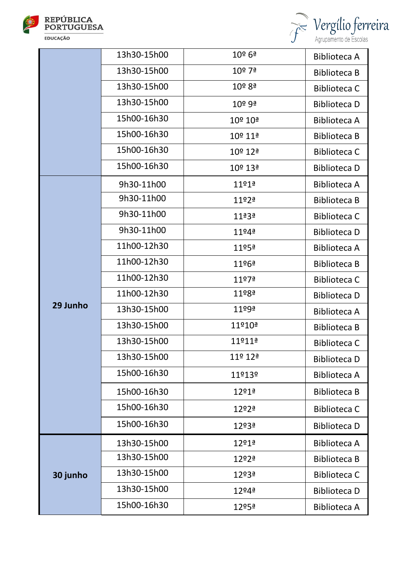



|          | 13h30-15h00 | $10^{\circ}$ 6ª       | <b>Biblioteca A</b> |
|----------|-------------|-----------------------|---------------------|
|          | 13h30-15h00 | 10 <sup>o</sup> 7ª    | <b>Biblioteca B</b> |
|          | 13h30-15h00 | 10 <sup>o</sup> 8ª    | <b>Biblioteca C</b> |
|          | 13h30-15h00 | 10 <sup>o</sup> 9ª    | <b>Biblioteca D</b> |
|          | 15h00-16h30 | 10º 10ª               | <b>Biblioteca A</b> |
|          | 15h00-16h30 | 10º 11ª               | <b>Biblioteca B</b> |
|          | 15h00-16h30 | 10º 12ª               | <b>Biblioteca C</b> |
|          | 15h00-16h30 | 10º 13ª               | <b>Biblioteca D</b> |
|          | 9h30-11h00  | $11^{014}$            | <b>Biblioteca A</b> |
|          | 9h30-11h00  | $11^{02}$             | <b>Biblioteca B</b> |
|          | 9h30-11h00  | $11^{\frac{a}{2}}$    | <b>Biblioteca C</b> |
|          | 9h30-11h00  | $11^{04}$             | <b>Biblioteca D</b> |
|          | 11h00-12h30 | $11^{054}$            | <b>Biblioteca A</b> |
| 29 Junho | 11h00-12h30 | 11º6ª                 | <b>Biblioteca B</b> |
|          | 11h00-12h30 | 11 <sup>0</sup> 7ª    | <b>Biblioteca C</b> |
|          | 11h00-12h30 | $11^{\circ}8^{\circ}$ | <b>Biblioteca D</b> |
|          | 13h30-15h00 | 11 <sup>o</sup> 9ª    | <b>Biblioteca A</b> |
|          | 13h30-15h00 | 11º10ª                | <b>Biblioteca B</b> |
|          | 13h30-15h00 | 11º11ª                | <b>Biblioteca C</b> |
|          | 13h30-15h00 | 11º 12ª               | <b>Biblioteca D</b> |
|          | 15h00-16h30 | 11º13º                | <b>Biblioteca A</b> |
|          | 15h00-16h30 | $12^{o}1^{o}$         | <b>Biblioteca B</b> |
|          | 15h00-16h30 | 12º2ª                 | <b>Biblioteca C</b> |
|          | 15h00-16h30 | 12º3ª                 | <b>Biblioteca D</b> |
| 30 junho | 13h30-15h00 | $12^{o}1^{o}$         | <b>Biblioteca A</b> |
|          | 13h30-15h00 | 12º2ª                 | <b>Biblioteca B</b> |
|          | 13h30-15h00 | 12º3ª                 | <b>Biblioteca C</b> |
|          | 13h30-15h00 | 12 <sup>o</sup> 4ª    | <b>Biblioteca D</b> |
|          | 15h00-16h30 | 12º5ª                 | <b>Biblioteca A</b> |